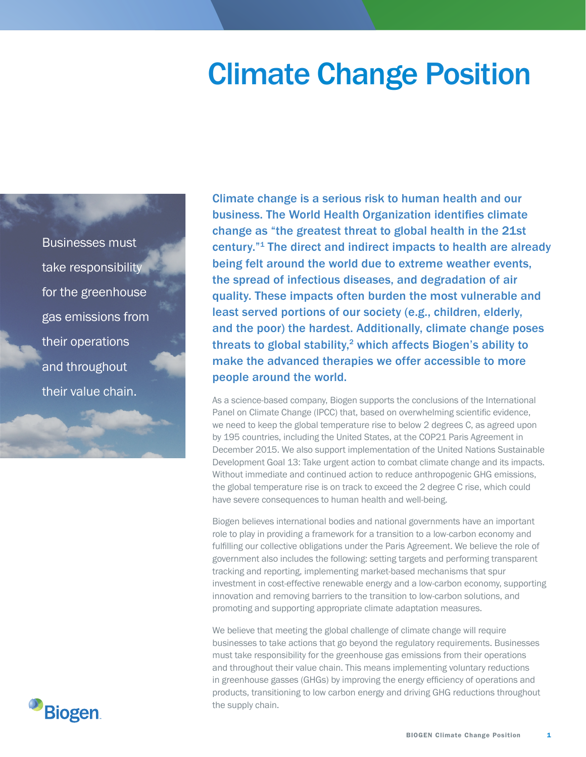## Climate Change Position

Businesses must take responsibility for the greenhouse gas emissions from their operations and throughout their value chain.

Climate change is a serious risk to human health and our business. The World Health Organization identifies climate change as "the greatest threat to global health in the 21st century."1 The direct and indirect impacts to health are already being felt around the world due to extreme weather events, the spread of infectious diseases, and degradation of air quality. These impacts often burden the most vulnerable and least served portions of our society (e.g., children, elderly, and the poor) the hardest. Additionally, climate change poses threats to global stability, $2$  which affects Biogen's ability to make the advanced therapies we offer accessible to more people around the world.

As a science-based company, Biogen supports the conclusions of the International Panel on Climate Change (IPCC) that, based on overwhelming scientific evidence, we need to keep the global temperature rise to below 2 degrees C, as agreed upon by 195 countries, including the United States, at the COP21 Paris Agreement in December 2015. We also support implementation of the United Nations Sustainable Development Goal 13: Take urgent action to combat climate change and its impacts. Without immediate and continued action to reduce anthropogenic GHG emissions, the global temperature rise is on track to exceed the 2 degree C rise, which could have severe consequences to human health and well-being.

Biogen believes international bodies and national governments have an important role to play in providing a framework for a transition to a low-carbon economy and fulfilling our collective obligations under the Paris Agreement. We believe the role of government also includes the following: setting targets and performing transparent tracking and reporting, implementing market-based mechanisms that spur investment in cost-effective renewable energy and a low-carbon economy, supporting innovation and removing barriers to the transition to low-carbon solutions, and promoting and supporting appropriate climate adaptation measures.

We believe that meeting the global challenge of climate change will require businesses to take actions that go beyond the regulatory requirements. Businesses must take responsibility for the greenhouse gas emissions from their operations and throughout their value chain. This means implementing voluntary reductions in greenhouse gasses (GHGs) by improving the energy efficiency of operations and products, transitioning to low carbon energy and driving GHG reductions throughout the supply chain.